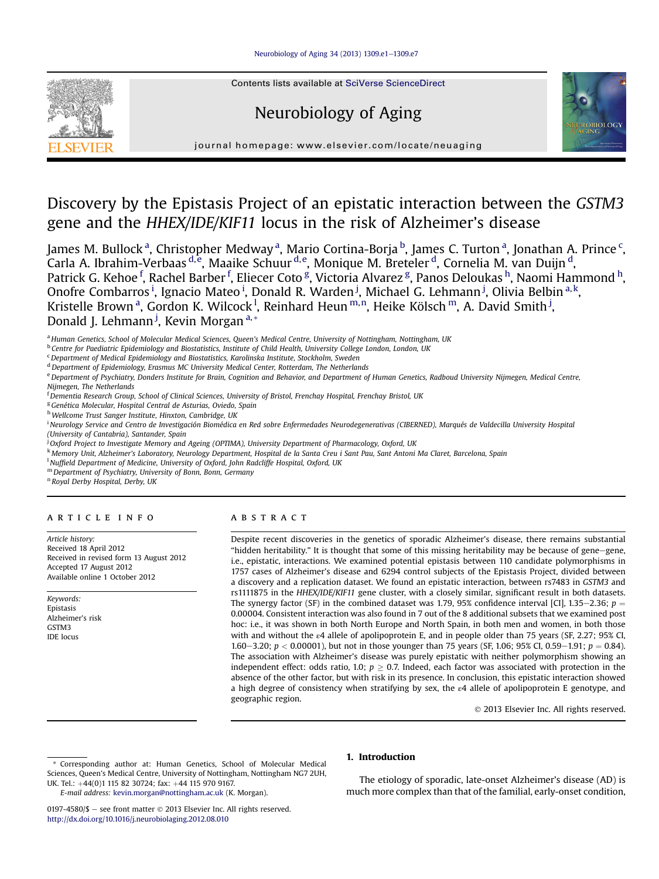### [Neurobiology of Aging 34 \(2013\) 1309.e1](http://dx.doi.org/10.1016/j.neurobiolaging.2012.08.010)-[1309.e7](http://dx.doi.org/10.1016/j.neurobiolaging.2012.08.010)



# Neurobiology of Aging



journal homepage: [www.elsevier.com/locate/neuaging](http://www.elsevier.com/locate/neuaging)

# Discovery by the Epistasis Project of an epistatic interaction between the GSTM3 gene and the HHEX/IDE/KIF11 locus in the risk of Alzheimer's disease

James M. Bullock <sup>a</sup>, Christopher Medway <sup>a</sup>, Mario Cortina-Borja <sup>b</sup>, James C. Turton <sup>a</sup>, Jonathan A. Prince <sup>c</sup>, Carla A. Ibrahim-Verbaas <sup>d, e</sup>, Maaike Schuur <sup>d, e</sup>, Monique M. Breteler <sup>d</sup>, Cornelia M. van Duijn <sup>d</sup>, Patrick G. Kehoe <sup>f</sup>, Rachel Barber <sup>f</sup>, Eliecer Coto <sup>g</sup>, Victoria Alvarez <sup>g</sup>, Panos Deloukas <sup>h</sup>, Naomi Hammond <sup>h</sup>, Onofre Combarros<sup>i</sup>, Ignacio Mateo<sup>i</sup>, Donald R. Warden<sup>j</sup>, Michael G. Lehmann<sup>j</sup>, Olivia Belbin<sup>a,k</sup>, Kristelle Brown<sup>a</sup>, Gordon K. Wilcock<sup>1</sup>, Reinhard Heun<sup>m,n</sup>, Heike Kölsch<sup>m</sup>, A. David Smith<sup>j</sup>, Donald J. Lehmann<sup>j</sup>, Kevin Morgan <sup>a,</sup>\*

a Human Genetics, School of Molecular Medical Sciences, Queen's Medical Centre, University of Nottingham, Nottingham, UK

**b Centre for Paediatric Epidemiology and Biostatistics, Institute of Child Health, University College London, London, UK** 

 $\epsilon$ Department of Medical Epidemiology and Biostatistics, Karolinska Institute, Stockholm, Sweden

<sup>d</sup> Department of Epidemiology, Erasmus MC University Medical Center, Rotterdam, The Netherlands

e Department of Psychiatry, Donders Institute for Brain, Cognition and Behavior, and Department of Human Genetics, Radboud University Nijmegen, Medical Centre, Nijmegen, The Netherlands

f Dementia Research Group, School of Clinical Sciences, University of Bristol, Frenchay Hospital, Frenchay Bristol, UK

<sup>g</sup> Genética Molecular, Hospital Central de Asturias, Oviedo, Spain

<sup>h</sup> Wellcome Trust Sanger Institute, Hinxton, Cambridge, UK

i Neurology Service and Centro de Investigación Biomédica en Red sobre Enfermedades Neurodegenerativas (CIBERNED), Marqués de Valdecilla University Hospital (University of Cantabria), Santander, Spain

<sup>j</sup> Oxford Project to Investigate Memory and Ageing (OPTIMA), University Department of Pharmacology, Oxford, UK

k Memory Unit, Alzheimer's Laboratory, Neurology Department, Hospital de la Santa Creu i Sant Pau, Sant Antoni Ma Claret, Barcelona, Spain

<sup>1</sup> Nuffield Department of Medicine, University of Oxford, John Radcliffe Hospital, Oxford, UK

<sup>m</sup> Department of Psychiatry, University of Bonn, Bonn, Germany

<sup>n</sup> Royal Derby Hospital, Derby, UK

# article info

Article history: Received 18 April 2012 Received in revised form 13 August 2012 Accepted 17 August 2012 Available online 1 October 2012

Keywords: Epistasis Alzheimer's risk GSTM3 IDE locus

# ABSTRACT

Despite recent discoveries in the genetics of sporadic Alzheimer's disease, there remains substantial "hidden heritability." It is thought that some of this missing heritability may be because of gene-gene, i.e., epistatic, interactions. We examined potential epistasis between 110 candidate polymorphisms in 1757 cases of Alzheimer's disease and 6294 control subjects of the Epistasis Project, divided between a discovery and a replication dataset. We found an epistatic interaction, between rs7483 in GSTM3 and rs1111875 in the HHEX/IDE/KIF11 gene cluster, with a closely similar, significant result in both datasets. The synergy factor (SF) in the combined dataset was 1.79, 95% confidence interval [CI], 1.35–2.36;  $p =$ 0.00004. Consistent interaction was also found in 7 out of the 8 additional subsets that we examined post hoc: i.e., it was shown in both North Europe and North Spain, in both men and women, in both those with and without the ε4 allele of apolipoprotein E, and in people older than 75 years (SF, 2.27; 95% CI, 1.60–3.20;  $p < 0.00001$ ), but not in those younger than 75 years (SF, 1.06; 95% CI, 0.59–1.91;  $p = 0.84$ ). The association with Alzheimer's disease was purely epistatic with neither polymorphism showing an independent effect: odds ratio, 1.0;  $p \geq 0.7$ . Indeed, each factor was associated with protection in the absence of the other factor, but with risk in its presence. In conclusion, this epistatic interaction showed a high degree of consistency when stratifying by sex, the ε4 allele of apolipoprotein E genotype, and geographic region.

2013 Elsevier Inc. All rights reserved.

E-mail address: [kevin.morgan@nottingham.ac.uk](mailto:kevin.morgan@nottingham.ac.uk) (K. Morgan).

# 1. Introduction

The etiology of sporadic, late-onset Alzheimer's disease (AD) is much more complex than that of the familial, early-onset condition,

<sup>\*</sup> Corresponding author at: Human Genetics, School of Molecular Medical Sciences, Queen's Medical Centre, University of Nottingham, Nottingham NG7 2UH, UK. Tel.: +44(0)1 115 82 30724; fax: +44 115 970 9167.

<sup>0197-4580/\$ -</sup> see front matter  $\odot$  2013 Elsevier Inc. All rights reserved. <http://dx.doi.org/10.1016/j.neurobiolaging.2012.08.010>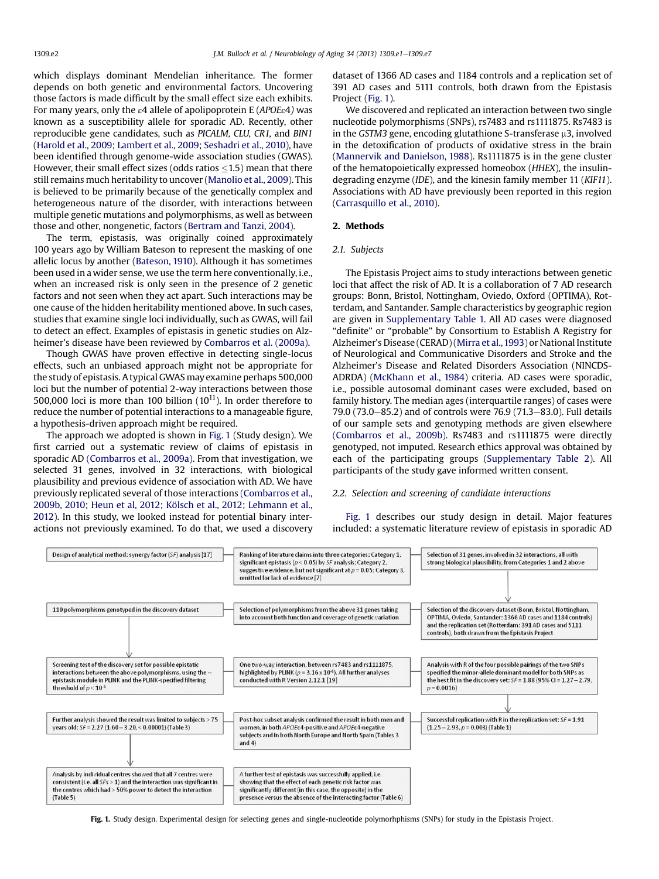<span id="page-1-0"></span>which displays dominant Mendelian inheritance. The former depends on both genetic and environmental factors. Uncovering those factors is made difficult by the small effect size each exhibits. For many years, only the  $\varepsilon$ 4 allele of apolipoprotein E (APOE $\varepsilon$ 4) was known as a susceptibility allele for sporadic AD. Recently, other reproducible gene candidates, such as PICALM, CLU, CR1, and BIN1 [\(Harold et al., 2009](#page-5-0); [Lambert et al., 2009](#page-6-0); [Seshadri et al., 2010](#page-6-0)), have been identified through genome-wide association studies (GWAS). However, their small effect sizes (odds ratios  $\leq$ 1.5) mean that there still remains much heritability to uncover [\(Manolio et al., 2009\)](#page-6-0). This is believed to be primarily because of the genetically complex and heterogeneous nature of the disorder, with interactions between multiple genetic mutations and polymorphisms, as well as between those and other, nongenetic, factors [\(Bertram and Tanzi, 2004](#page-5-0)).

The term, epistasis, was originally coined approximately 100 years ago by William Bateson to represent the masking of one allelic locus by another [\(Bateson, 1910](#page-5-0)). Although it has sometimes been used in a wider sense, we use the term here conventionally, i.e., when an increased risk is only seen in the presence of 2 genetic factors and not seen when they act apart. Such interactions may be one cause of the hidden heritability mentioned above. In such cases, studies that examine single loci individually, such as GWAS, will fail to detect an effect. Examples of epistasis in genetic studies on Alzheimer's disease have been reviewed by [Combarros et al. \(2009a\).](#page-5-0)

Though GWAS have proven effective in detecting single-locus effects, such an unbiased approach might not be appropriate for the study of epistasis. A typical GWAS may examine perhaps 500,000 loci but the number of potential 2-way interactions between those 500,000 loci is more than 100 billion  $(10^{11})$ . In order therefore to reduce the number of potential interactions to a manageable figure, a hypothesis-driven approach might be required.

The approach we adopted is shown in Fig. 1 (Study design). We first carried out a systematic review of claims of epistasis in sporadic AD [\(Combarros et al., 2009a\).](#page-5-0) From that investigation, we selected 31 genes, involved in 32 interactions, with biological plausibility and previous evidence of association with AD. We have previously replicated several of those interactions [\(Combarros et al.,](#page-5-0) [2009b](#page-5-0), [2010;](#page-5-0) [Heun et al, 2012](#page-6-0); [Kölsch et al., 2012](#page-6-0); [Lehmann et al.,](#page-6-0) [2012\)](#page-6-0). In this study, we looked instead for potential binary interactions not previously examined. To do that, we used a discovery

dataset of 1366 AD cases and 1184 controls and a replication set of 391 AD cases and 5111 controls, both drawn from the Epistasis Project (Fig. 1).

We discovered and replicated an interaction between two single nucleotide polymorphisms (SNPs), rs7483 and rs1111875. Rs7483 is in the GSTM3 gene, encoding glutathione S-transferase  $\mu$ 3, involved in the detoxification of products of oxidative stress in the brain ([Mannervik and Danielson, 1988](#page-6-0)). Rs1111875 is in the gene cluster of the hematopoietically expressed homeobox (HHEX), the insulindegrading enzyme (IDE), and the kinesin family member 11 (KIF11). Associations with AD have previously been reported in this region ([Carrasquillo et al., 2010](#page-5-0)).

# 2. Methods

# 2.1. Subjects

The Epistasis Project aims to study interactions between genetic loci that affect the risk of AD. It is a collaboration of 7 AD research groups: Bonn, Bristol, Nottingham, Oviedo, Oxford (OPTIMA), Rotterdam, and Santander. Sample characteristics by geographic region are given in [Supplementary Table 1.](#page-5-0) All AD cases were diagnosed "definite" or "probable" by Consortium to Establish A Registry for Alzheimer's Disease (CERAD) ([Mirra et al.,1993\)](#page-6-0) or National Institute of Neurological and Communicative Disorders and Stroke and the Alzheimer's Disease and Related Disorders Association (NINCDS-ADRDA) ([McKhann et al., 1984\)](#page-6-0) criteria. AD cases were sporadic, i.e., possible autosomal dominant cases were excluded, based on family history. The median ages (interquartile ranges) of cases were 79.0 (73.0–85.2) and of controls were 76.9 (71.3–83.0). Full details of our sample sets and genotyping methods are given elsewhere [\(Combarros et al., 2009b\).](#page-5-0) Rs7483 and rs1111875 were directly genotyped, not imputed. Research ethics approval was obtained by each of the participating groups [\(Supplementary Table 2](#page-5-0)). All participants of the study gave informed written consent.

### 2.2. Selection and screening of candidate interactions

Fig. 1 describes our study design in detail. Major features included: a systematic literature review of epistasis in sporadic AD



Fig. 1. Study design. Experimental design for selecting genes and single-nucleotide polymorhphisms (SNPs) for study in the Epistasis Project.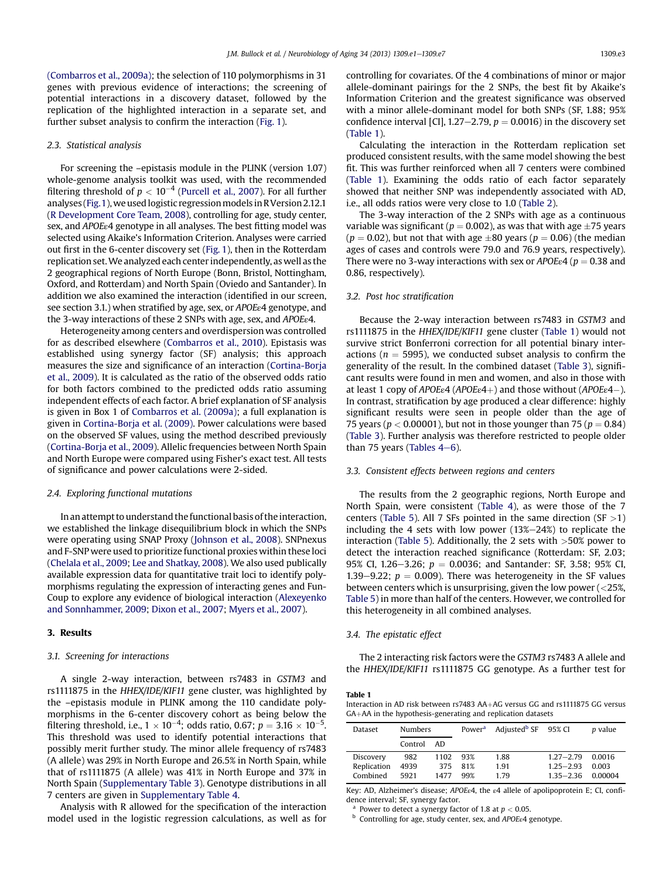<span id="page-2-0"></span>[\(Combarros et al., 2009a\)](#page-5-0); the selection of 110 polymorphisms in 31 genes with previous evidence of interactions; the screening of potential interactions in a discovery dataset, followed by the replication of the highlighted interaction in a separate set, and further subset analysis to confirm the interaction [\(Fig. 1\)](#page-1-0).

#### 2.3. Statistical analysis

For screening the –epistasis module in the PLINK (version 1.07) whole-genome analysis toolkit was used, with the recommended filtering threshold of  $p < 10^{-4}$  [\(Purcell et al., 2007\)](#page-6-0). For all further analyses [\(Fig.1](#page-1-0)), we used logistic regression models in R Version 2.12.1 [\(R Development Core Team, 2008](#page-6-0)), controlling for age, study center, sex, and APOEε4 genotype in all analyses. The best fitting model was selected using Akaike's Information Criterion. Analyses were carried out first in the 6-center discovery set [\(Fig. 1\)](#page-1-0), then in the Rotterdam replication set.We analyzed each center independently, as well as the 2 geographical regions of North Europe (Bonn, Bristol, Nottingham, Oxford, and Rotterdam) and North Spain (Oviedo and Santander). In addition we also examined the interaction (identified in our screen, see section 3.1.) when stratified by age, sex, or APOEε4 genotype, and the 3-way interactions of these 2 SNPs with age, sex, and APOEε4.

Heterogeneity among centers and overdispersion was controlled for as described elsewhere ([Combarros et al., 2010](#page-5-0)). Epistasis was established using synergy factor (SF) analysis; this approach measures the size and significance of an interaction ([Cortina-Borja](#page-5-0) [et al., 2009\)](#page-5-0). It is calculated as the ratio of the observed odds ratio for both factors combined to the predicted odds ratio assuming independent effects of each factor. A brief explanation of SF analysis is given in Box 1 of [Combarros et al. \(2009a\)](#page-5-0); a full explanation is given in [Cortina-Borja et al. \(2009\).](#page-5-0) Power calculations were based on the observed SF values, using the method described previously ([Cortina-Borja et al., 2009](#page-5-0)). Allelic frequencies between North Spain and North Europe were compared using Fisher's exact test. All tests of significance and power calculations were 2-sided.

#### 2.4. Exploring functional mutations

In an attempt to understand the functional basis of the interaction, we established the linkage disequilibrium block in which the SNPs were operating using SNAP Proxy [\(Johnson et al., 2008\)](#page-6-0). SNPnexus and F-SNP were used to prioritize functional proxies within these loci ([Chelala et al., 2009;](#page-5-0) [Lee and Shatkay, 2008](#page-6-0)). We also used publically available expression data for quantitative trait loci to identify polymorphisms regulating the expression of interacting genes and Fun-Coup to explore any evidence of biological interaction [\(Alexeyenko](#page-5-0) [and Sonnhammer, 2009;](#page-5-0) [Dixon et al., 2007](#page-5-0); [Myers et al., 2007](#page-6-0)).

# 3. Results

# 3.1. Screening for interactions

A single 2-way interaction, between rs7483 in GSTM3 and rs1111875 in the HHEX/IDE/KIF11 gene cluster, was highlighted by the –epistasis module in PLINK among the 110 candidate polymorphisms in the 6-center discovery cohort as being below the filtering threshold, i.e.,  $1 \times 10^{-4}$ ; odds ratio, 0.67;  $p = 3.16 \times 10^{-5}$ . This threshold was used to identify potential interactions that possibly merit further study. The minor allele frequency of rs7483 (A allele) was 29% in North Europe and 26.5% in North Spain, while that of rs1111875 (A allele) was 41% in North Europe and 37% in North Spain ([Supplementary Table 3\)](#page-5-0). Genotype distributions in all 7 centers are given in [Supplementary Table 4](#page-5-0).

Analysis with R allowed for the specification of the interaction model used in the logistic regression calculations, as well as for controlling for covariates. Of the 4 combinations of minor or major allele-dominant pairings for the 2 SNPs, the best fit by Akaike's Information Criterion and the greatest significance was observed with a minor allele-dominant model for both SNPs (SF, 1.88; 95% confidence interval [CI], 1.27–2.79,  $p = 0.0016$ ) in the discovery set (Table 1).

Calculating the interaction in the Rotterdam replication set produced consistent results, with the same model showing the best fit. This was further reinforced when all 7 centers were combined (Table 1). Examining the odds ratio of each factor separately showed that neither SNP was independently associated with AD, i.e., all odds ratios were very close to 1.0 ([Table 2\)](#page-3-0).

The 3-way interaction of the 2 SNPs with age as a continuous variable was significant ( $p = 0.002$ ), as was that with age  $\pm 75$  years  $(p = 0.02)$ , but not that with age  $\pm 80$  years ( $p = 0.06$ ) (the median ages of cases and controls were 79.0 and 76.9 years, respectively). There were no 3-way interactions with sex or  $APOEe4$  ( $p = 0.38$  and 0.86, respectively).

#### 3.2. Post hoc stratification

Because the 2-way interaction between rs7483 in GSTM3 and rs1111875 in the HHEX/IDE/KIF11 gene cluster (Table 1) would not survive strict Bonferroni correction for all potential binary interactions ( $n = 5995$ ), we conducted subset analysis to confirm the generality of the result. In the combined dataset ([Table 3\)](#page-3-0), significant results were found in men and women, and also in those with at least 1 copy of  $APOE\epsilon 4$  ( $APOE\epsilon 4$ ) and those without ( $APOE\epsilon 4$ ). In contrast, stratification by age produced a clear difference: highly significant results were seen in people older than the age of 75 years ( $p < 0.00001$ ), but not in those younger than 75 ( $p = 0.84$ ) [\(Table 3](#page-3-0)). Further analysis was therefore restricted to people older than 75 years (Tables  $4-6$ ).

# 3.3. Consistent effects between regions and centers

The results from the 2 geographic regions, North Europe and North Spain, were consistent ([Table 4](#page-3-0)), as were those of the 7 centers ([Table 5](#page-3-0)). All 7 SFs pointed in the same direction (SF  $>1$ ) including the 4 sets with low power  $(13\text{%-}24\text{%)}$  to replicate the interaction [\(Table 5\)](#page-3-0). Additionally, the 2 sets with >50% power to detect the interaction reached significance (Rotterdam: SF, 2.03; 95% CI, 1.26–3.26;  $p = 0.0036$ ; and Santander: SF, 3.58; 95% CI, 1.39–9.22;  $p = 0.009$ ). There was heterogeneity in the SF values between centers which is unsurprising, given the low power (<25%, [Table 5](#page-3-0)) in more than half of the centers. However, we controlled for this heterogeneity in all combined analyses.

#### 3.4. The epistatic effect

The 2 interacting risk factors were the GSTM3 rs7483 A allele and the HHEX/IDE/KIF11 rs1111875 GG genotype. As a further test for

#### Table 1

Interaction in AD risk between  $rs7483$  AA $+$ AG versus GG and  $rs1111875$  GG versus GA+AA in the hypothesis-generating and replication datasets

| Dataset     | Numbers |      |     | Power <sup>a</sup> Adjusted <sup>b</sup> SF 95% CI |               | <i>p</i> value |
|-------------|---------|------|-----|----------------------------------------------------|---------------|----------------|
|             | Control | AD.  |     |                                                    |               |                |
| Discovery   | 982     | 1102 | 93% | 1.88                                               | $1.27 - 2.79$ | 0.0016         |
| Replication | 4939    | 375  | 81% | 1.91                                               | $1.25 - 2.93$ | 0.003          |
| Combined    | 5921    | 1477 | 99% | 179                                                | $1.35 - 2.36$ | 0.00004        |

Key: AD, Alzheimer's disease; APOEε4, the ε4 allele of apolipoprotein E; CI, confidence interval; SF, synergy factor.

<sup>b</sup> Controlling for age, study center, sex, and APOEε4 genotype.

<sup>&</sup>lt;sup>a</sup> Power to detect a synergy factor of 1.8 at  $p < 0.05$ .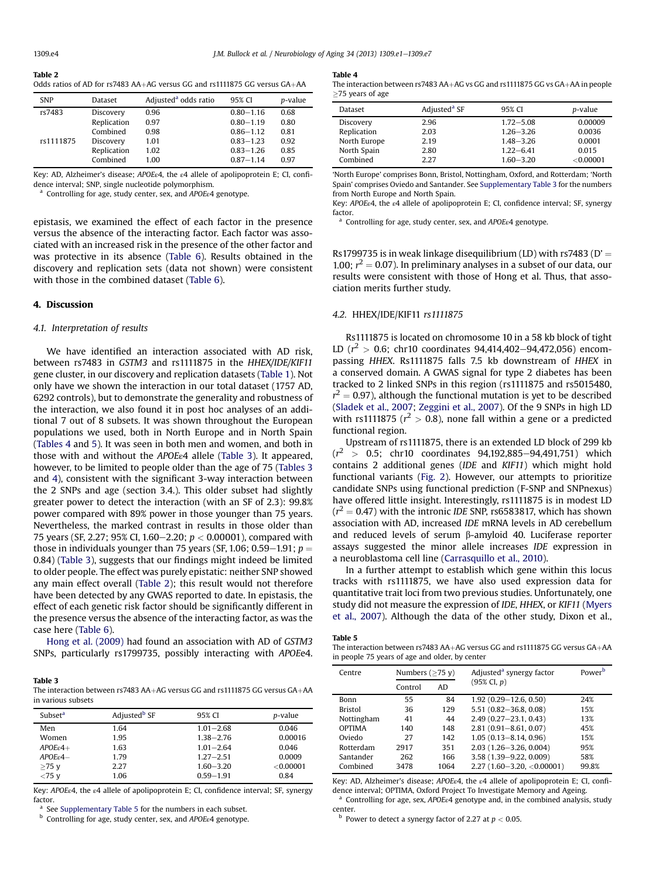#### <span id="page-3-0"></span>Table 2

Odds ratios of AD for rs7483  $AA + AG$  versus GG and rs1111875 GG versus GA $+AA$ 

| <b>SNP</b> | Dataset     | Adjusted <sup>a</sup> odds ratio | 95% CI        | p-value |
|------------|-------------|----------------------------------|---------------|---------|
| rs7483     | Discovery   | 0.96                             | $0.80 - 1.16$ | 0.68    |
|            | Replication | 0.97                             | $0.80 - 1.19$ | 0.80    |
|            | Combined    | 0.98                             | $0.86 - 1.12$ | 0.81    |
| rs1111875  | Discovery   | 1.01                             | $0.83 - 1.23$ | 0.92    |
|            | Replication | 1.02                             | $0.83 - 1.26$ | 0.85    |
|            | Combined    | 1.00                             | $0.87 - 1.14$ | 0.97    |

Key: AD, Alzheimer's disease; APOEε4, the ε4 allele of apolipoprotein E; CI, confidence interval; SNP, single nucleotide polymorphism.

<sup>1</sup> Controlling for age, study center, sex, and APOE<sub>E</sub>4 genotype.

epistasis, we examined the effect of each factor in the presence versus the absence of the interacting factor. Each factor was associated with an increased risk in the presence of the other factor and was protective in its absence [\(Table 6](#page-4-0)). Results obtained in the discovery and replication sets (data not shown) were consistent with those in the combined dataset ([Table 6\)](#page-4-0).

# 4. Discussion

# 4.1. Interpretation of results

We have identified an interaction associated with AD risk, between rs7483 in GSTM3 and rs1111875 in the HHEX/IDE/KIF11 gene cluster, in our discovery and replication datasets ([Table 1](#page-2-0)). Not only have we shown the interaction in our total dataset (1757 AD, 6292 controls), but to demonstrate the generality and robustness of the interaction, we also found it in post hoc analyses of an additional 7 out of 8 subsets. It was shown throughout the European populations we used, both in North Europe and in North Spain (Tables 4 and 5). It was seen in both men and women, and both in those with and without the APOEε4 allele (Table 3). It appeared, however, to be limited to people older than the age of 75 (Tables 3 and 4), consistent with the significant 3-way interaction between the 2 SNPs and age (section 3.4.). This older subset had slightly greater power to detect the interaction (with an SF of 2.3): 99.8% power compared with 89% power in those younger than 75 years. Nevertheless, the marked contrast in results in those older than 75 years (SF, 2.27; 95% CI, 1.60–2.20;  $p < 0.00001$ ), compared with those in individuals younger than 75 years (SF, 1.06; 0.59–1.91;  $p =$ 0.84) (Table 3), suggests that our findings might indeed be limited to older people. The effect was purely epistatic: neither SNP showed any main effect overall (Table 2); this result would not therefore have been detected by any GWAS reported to date. In epistasis, the effect of each genetic risk factor should be significantly different in the presence versus the absence of the interacting factor, as was the case here [\(Table 6](#page-4-0)).

[Hong et al. \(2009\)](#page-6-0) had found an association with AD of GSTM3 SNPs, particularly rs1799735, possibly interacting with APOEe4.

#### Table 3

The interaction between rs7483 AA+AG versus GG and rs1111875 GG versus GA+AA in various subsets

| Subset <sup>a</sup> | Adjusted <sup>b</sup> SF | 95% CI        | p-value   |
|---------------------|--------------------------|---------------|-----------|
| Men                 | 1.64                     | $1.01 - 2.68$ | 0.046     |
| Women               | 1.95                     | $1.38 - 2.76$ | 0.00016   |
| $APOEe4+$           | 1.63                     | $1.01 - 2.64$ | 0.046     |
| $APOFe4-$           | 1.79                     | $1.27 - 2.51$ | 0.0009    |
| $\geq$ 75 y         | 2.27                     | $1.60 - 3.20$ | < 0.00001 |
| $<$ 75 v            | 1.06                     | $0.59 - 1.91$ | 0.84      |
|                     |                          |               |           |

Key: APOEε4, the ε4 allele of apolipoprotein E; CI, confidence interval; SF, synergy factor.

<sup>a</sup> See [Supplementary Table 5](#page-5-0) for the numbers in each subset.

<sup>b</sup> Controlling for age, study center, sex, and APOEε4 genotype.

#### Table 4

The interaction between rs7483 AA+AG vs GG and rs1111875 GG vs GA+AA in people  $\geq$ 75 years of age

| Dataset      | Adjusted <sup>a</sup> SF | 95% CI        | <i>p</i> -value |
|--------------|--------------------------|---------------|-----------------|
| Discovery    | 2.96                     | $1.72 - 5.08$ | 0.00009         |
| Replication  | 2.03                     | $1.26 - 3.26$ | 0.0036          |
| North Europe | 2.19                     | $1.48 - 3.26$ | 0.0001          |
| North Spain  | 2.80                     | $1.22 - 6.41$ | 0.015           |
| Combined     | 2.27                     | $1.60 - 3.20$ | < 0.00001       |

'North Europe' comprises Bonn, Bristol, Nottingham, Oxford, and Rotterdam; 'North Spain' comprises Oviedo and Santander. See [Supplementary Table 3](#page-5-0) for the numbers from North Europe and North Spain.

Key: APOEε4, the ε4 allele of apolipoprotein E; CI, confidence interval; SF, synergy factor.

<sup>a</sup> Controlling for age, study center, sex, and  $APOEe4$  genotype.

Rs1799735 is in weak linkage disequilibrium (LD) with rs7483 ( $D' =$ 1.00;  $r^2 = 0.07$ ). In preliminary analyses in a subset of our data, our results were consistent with those of Hong et al. Thus, that association merits further study.

# 4.2. HHEX/IDE/KIF11 rs1111875

Rs1111875 is located on chromosome 10 in a 58 kb block of tight LD ( $r^2 > 0.6$ ; chr10 coordinates 94,414,402–94,472,056) encompassing HHEX. Rs1111875 falls 7.5 kb downstream of HHEX in a conserved domain. A GWAS signal for type 2 diabetes has been tracked to 2 linked SNPs in this region (rs1111875 and rs5015480,  $r^2 = 0.97$ ), although the functional mutation is yet to be described ([Sladek et al., 2007](#page-6-0); [Zeggini et al., 2007\)](#page-6-0). Of the 9 SNPs in high LD with rs1111875 ( $r^2 > 0.8$ ), none fall within a gene or a predicted functional region.

Upstream of rs1111875, there is an extended LD block of 299 kb  $(r^2$  > 0.5; chr10 coordinates 94,192,885–94,491,751) which contains 2 additional genes (IDE and KIF11) which might hold functional variants [\(Fig. 2](#page-4-0)). However, our attempts to prioritize candidate SNPs using functional prediction (F-SNP and SNPnexus) have offered little insight. Interestingly, rs1111875 is in modest LD  $(r^2 = 0.47)$  with the intronic IDE SNP, rs6583817, which has shown association with AD, increased IDE mRNA levels in AD cerebellum and reduced levels of serum  $\beta$ -amyloid 40. Luciferase reporter assays suggested the minor allele increases IDE expression in a neuroblastoma cell line ([Carrasquillo et al., 2010](#page-5-0)).

In a further attempt to establish which gene within this locus tracks with rs1111875, we have also used expression data for quantitative trait loci from two previous studies. Unfortunately, one study did not measure the expression of IDE, HHEX, or KIF11 [\(Myers](#page-6-0) [et al., 2007\)](#page-6-0). Although the data of the other study, Dixon et al.,

Table 5

The interaction between rs7483 AA+AG versus GG and rs1111875 GG versus GA+AA in people 75 years of age and older, by center

| Centre        | Numbers $($ >75 y) |      | Adjusted <sup>a</sup> synergy factor | Powerb |
|---------------|--------------------|------|--------------------------------------|--------|
|               | Control            | AD.  | $(95\% \text{ CI}, p)$               |        |
| Bonn          | 55                 | 84   | $1.92(0.29 - 12.6, 0.50)$            | 24%    |
| Bristol       | 36                 | 129  | $5.51(0.82 - 36.8, 0.08)$            | 15%    |
| Nottingham    | 41                 | 44   | $2.49(0.27 - 23.1, 0.43)$            | 13%    |
| <b>OPTIMA</b> | 140                | 148  | $2.81(0.91 - 8.61, 0.07)$            | 45%    |
| Oviedo        | 27                 | 142  | $1.05(0.13 - 8.14, 0.96)$            | 15%    |
| Rotterdam     | 2917               | 351  | $2.03(1.26 - 3.26, 0.004)$           | 95%    |
| Santander     | 262                | 166  | $3.58(1.39 - 9.22, 0.009)$           | 58%    |
| Combined      | 3478               | 1064 | $2.27(1.60 - 3.20, < 0.00001)$       | 99.8%  |

Key: AD, Alzheimer's disease; APOEε4, the ε4 allele of apolipoprotein E; CI, confidence interval; OPTIMA, Oxford Project To Investigate Memory and Ageing. <sup>a</sup> Controlling for age, sex,  $APOEe4$  genotype and, in the combined analysis, study

center.  $<sup>b</sup>$  Power to detect a synergy factor of 2.27 at  $p < 0.05$ .</sup>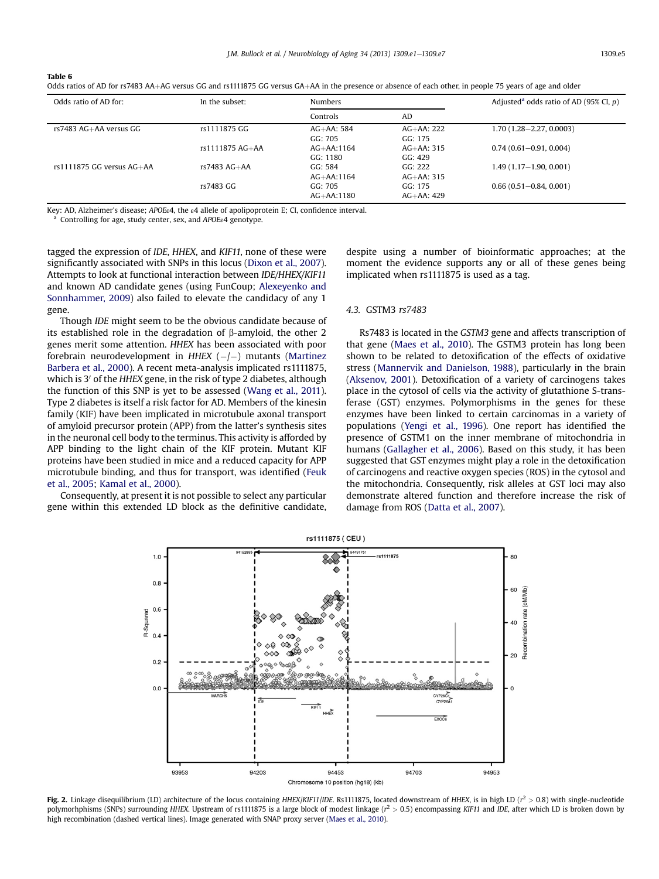<span id="page-4-0"></span>

|--|--|--|--|

Odds ratios of AD for rs7483 AA+AG versus GG and rs1111875 GG versus GA+AA in the presence or absence of each other, in people 75 years of age and older

| Odds ratio of AD for:       | In the subset:  | Numbers      |              | Adjusted <sup>a</sup> odds ratio of AD (95% CI, $p$ ) |
|-----------------------------|-----------------|--------------|--------------|-------------------------------------------------------|
|                             |                 | Controls     | AD.          |                                                       |
| rs7483 AG+AA versus GG      | rs1111875 GG    | AG+AA: 584   | $AG+AA: 222$ | $1.70(1.28 - 2.27, 0.0003)$                           |
|                             |                 | GG: 705      | GG: 175      |                                                       |
|                             | rs1111875 AG+AA | $AG+AA:1164$ | $AG+AA: 315$ | $0.74(0.61 - 0.91, 0.004)$                            |
|                             |                 | GG: 1180     | GG: 429      |                                                       |
| rs1111875 GG versus $AG+AA$ | rs7483 $AG+AA$  | GG: 584      | GG: 222      | $1.49(1.17-1.90, 0.001)$                              |
|                             |                 | AG+AA:1164   | $AG+AA: 315$ |                                                       |
|                             | rs7483 GG       | GG: 705      | GG: 175      | $0.66(0.51 - 0.84, 0.001)$                            |
|                             |                 | $AG+AA:1180$ | $AG+AA: 429$ |                                                       |

Key: AD, Alzheimer's disease; APOEε4, the ε4 allele of apolipoprotein E; CI, confidence interval.

<sup>a</sup> Controlling for age, study center, sex, and APOEε4 genotype.

tagged the expression of IDE, HHEX, and KIF11, none of these were significantly associated with SNPs in this locus [\(Dixon et al., 2007](#page-5-0)). Attempts to look at functional interaction between IDE/HHEX/KIF11 and known AD candidate genes (using FunCoup; [Alexeyenko and](#page-5-0) [Sonnhammer, 2009](#page-5-0)) also failed to elevate the candidacy of any 1 gene.

Though IDE might seem to be the obvious candidate because of its established role in the degradation of  $\beta$ -amyloid, the other 2 genes merit some attention. HHEX has been associated with poor forebrain neurodevelopment in HHEX  $(-/-)$  mutants [\(Martinez](#page-6-0) [Barbera et al., 2000](#page-6-0)). A recent meta-analysis implicated rs1111875, which is 3' of the HHEX gene, in the risk of type 2 diabetes, although the function of this SNP is yet to be assessed ([Wang et al., 2011](#page-6-0)). Type 2 diabetes is itself a risk factor for AD. Members of the kinesin family (KIF) have been implicated in microtubule axonal transport of amyloid precursor protein (APP) from the latter's synthesis sites in the neuronal cell body to the terminus. This activity is afforded by APP binding to the light chain of the KIF protein. Mutant KIF proteins have been studied in mice and a reduced capacity for APP microtubule binding, and thus for transport, was identified [\(Feuk](#page-5-0) [et al., 2005](#page-5-0); [Kamal et al., 2000](#page-6-0)).

Consequently, at present it is not possible to select any particular gene within this extended LD block as the definitive candidate,

despite using a number of bioinformatic approaches; at the moment the evidence supports any or all of these genes being implicated when rs1111875 is used as a tag.

# 4.3. GSTM3 rs7483

Rs7483 is located in the GSTM3 gene and affects transcription of that gene [\(Maes et al., 2010\)](#page-6-0). The GSTM3 protein has long been shown to be related to detoxification of the effects of oxidative stress [\(Mannervik and Danielson, 1988\)](#page-6-0), particularly in the brain [\(Aksenov, 2001](#page-5-0)). Detoxification of a variety of carcinogens takes place in the cytosol of cells via the activity of glutathione S-transferase (GST) enzymes. Polymorphisms in the genes for these enzymes have been linked to certain carcinomas in a variety of populations ([Yengi et al., 1996](#page-6-0)). One report has identified the presence of GSTM1 on the inner membrane of mitochondria in humans ([Gallagher et al., 2006\)](#page-5-0). Based on this study, it has been suggested that GST enzymes might play a role in the detoxification of carcinogens and reactive oxygen species (ROS) in the cytosol and the mitochondria. Consequently, risk alleles at GST loci may also demonstrate altered function and therefore increase the risk of damage from ROS ([Datta et al., 2007](#page-5-0)).



Fig. 2. Linkage disequilibrium (LD) architecture of the locus containing HHEX/KIF11/IDE. Rs1111875, located downstream of HHEX, is in high LD ( $r^2 > 0.8$ ) with single-nucleotide polymorhphisms (SNPs) surrounding HHEX. Upstream of rs1111875 is a large block of modest linkage ( $r^2 > 0.5$ ) encompassing KIF11 and IDE, after which LD is broken down by high recombination (dashed vertical lines). Image generated with SNAP proxy server ([Maes et al., 2010\)](#page-6-0).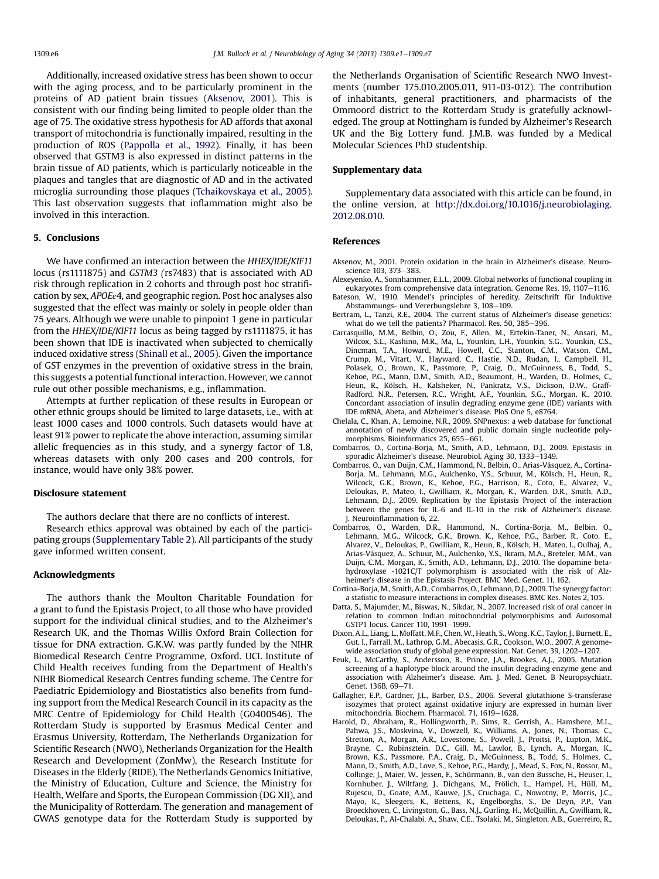<span id="page-5-0"></span>Additionally, increased oxidative stress has been shown to occur with the aging process, and to be particularly prominent in the proteins of AD patient brain tissues (Aksenov, 2001). This is consistent with our finding being limited to people older than the age of 75. The oxidative stress hypothesis for AD affords that axonal transport of mitochondria is functionally impaired, resulting in the production of ROS ([Pappolla et al., 1992](#page-6-0)). Finally, it has been observed that GSTM3 is also expressed in distinct patterns in the brain tissue of AD patients, which is particularly noticeable in the plaques and tangles that are diagnostic of AD and in the activated microglia surrounding those plaques ([Tchaikovskaya et al., 2005\)](#page-6-0). This last observation suggests that inflammation might also be involved in this interaction.

# 5. Conclusions

We have confirmed an interaction between the HHEX/IDE/KIF11 locus (rs1111875) and GSTM3 (rs7483) that is associated with AD risk through replication in 2 cohorts and through post hoc stratification by sex, APOEε4, and geographic region. Post hoc analyses also suggested that the effect was mainly or solely in people older than 75 years. Although we were unable to pinpoint 1 gene in particular from the HHEX/IDE/KIF11 locus as being tagged by rs1111875, it has been shown that IDE is inactivated when subjected to chemically induced oxidative stress [\(Shinall et al., 2005\)](#page-6-0). Given the importance of GST enzymes in the prevention of oxidative stress in the brain, this suggests a potential functional interaction. However, we cannot rule out other possible mechanisms, e.g., inflammation.

Attempts at further replication of these results in European or other ethnic groups should be limited to large datasets, i.e., with at least 1000 cases and 1000 controls. Such datasets would have at least 91% power to replicate the above interaction, assuming similar allelic frequencies as in this study, and a synergy factor of 1.8, whereas datasets with only 200 cases and 200 controls, for instance, would have only 38% power.

#### Disclosure statement

The authors declare that there are no conflicts of interest.

Research ethics approval was obtained by each of the participating groups (Supplementary Table 2). All participants of the study gave informed written consent.

# Acknowledgments

The authors thank the Moulton Charitable Foundation for a grant to fund the Epistasis Project, to all those who have provided support for the individual clinical studies, and to the Alzheimer's Research UK, and the Thomas Willis Oxford Brain Collection for tissue for DNA extraction. G.K.W. was partly funded by the NIHR Biomedical Research Centre Programme, Oxford. UCL Institute of Child Health receives funding from the Department of Health's NIHR Biomedical Research Centres funding scheme. The Centre for Paediatric Epidemiology and Biostatistics also benefits from funding support from the Medical Research Council in its capacity as the MRC Centre of Epidemiology for Child Health (G0400546). The Rotterdam Study is supported by Erasmus Medical Center and Erasmus University, Rotterdam, The Netherlands Organization for Scientific Research (NWO), Netherlands Organization for the Health Research and Development (ZonMw), the Research Institute for Diseases in the Elderly (RIDE), The Netherlands Genomics Initiative, the Ministry of Education, Culture and Science, the Ministry for Health, Welfare and Sports, the European Commission (DG XII), and the Municipality of Rotterdam. The generation and management of GWAS genotype data for the Rotterdam Study is supported by

the Netherlands Organisation of Scientific Research NWO Investments (number 175.010.2005.011, 911-03-012). The contribution of inhabitants, general practitioners, and pharmacists of the Ommoord district to the Rotterdam Study is gratefully acknowledged. The group at Nottingham is funded by Alzheimer's Research UK and the Big Lottery fund. J.M.B. was funded by a Medical Molecular Sciences PhD studentship.

# Supplementary data

Supplementary data associated with this article can be found, in the online version, at [http://dx.doi.org/10.1016/j.neurobiolaging.](http://dx.doi.org/10.1016/j.neurobiolaging.2012.08.010) [2012.08.010.](http://dx.doi.org/10.1016/j.neurobiolaging.2012.08.010)

#### References

- Aksenov, M., 2001. Protein oxidation in the brain in Alzheimer's disease. Neuroscience 103, 373-383.
- Alexeyenko, A., Sonnhammer, E.L.L., 2009. Global networks of functional coupling in eukaryotes from comprehensive data integration. Genome Res. 19, 1107-1116.
- Bateson, W., 1910. Mendel's principles of heredity. Zeitschrift für Induktive Abstammungs- und Vererbungslehre 3, 108-109.
- Bertram, L., Tanzi, R.E., 2004. The current status of Alzheimer's disease genetics: what do we tell the patients? Pharmacol. Res. 50, 385-396.
- Carrasquillo, M.M., Belbin, O., Zou, F., Allen, M., Ertekin-Taner, N., Ansari, M., Wilcox, S.L., Kashino, M.R., Ma, L., Younkin, L.H., Younkin, S.G., Younkin, C.S., Dincman, T.A., Howard, M.E., Howell, C.C., Stanton, C.M., Watson, C.M., Crump, M., Vitart, V., Hayward, C., Hastie, N.D., Rudan, I., Campbell, H., Polasek, O., Brown, K., Passmore, P., Craig, D., McGuinness, B., Todd, S., Kehoe, P.G., Mann, D.M., Smith, A.D., Beaumont, H., Warden, D., Holmes, C., Heun, R., Kölsch, H., Kalsheker, N., Pankratz, V.S., Dickson, D.W., Graff-Radford, N.R., Petersen, R.C., Wright, A.F., Younkin, S.G., Morgan, K., 2010. Concordant association of insulin degrading enzyme gene (IDE) variants with IDE mRNA, Abeta, and Alzheimer's disease. PloS One 5, e8764.
- Chelala, C., Khan, A., Lemoine, N.R., 2009. SNPnexus: a web database for functional annotation of newly discovered and public domain single nucleotide polymorphisms. Bioinformatics 25, 655-661.
- Combarros, O., Cortina-Borja, M., Smith, A.D., Lehmann, D.J., 2009. Epistasis in sporadic Alzheimer's disease. Neurobiol. Aging 30, 1333-1349.
- Combarros, O., van Duijn, C.M., Hammond, N., Belbin, O., Arias-Vásquez, A., Cortina-Borja, M., Lehmann, M.G., Aulchenko, Y.S., Schuur, M., Kölsch, H., Heun, R., Wilcock, G.K., Brown, K., Kehoe, P.G., Harrison, R., Coto, E., Alvarez, V., Deloukas, P., Mateo, I., Gwilliam, R., Morgan, K., Warden, D.R., Smith, A.D., Lehmann, D.J., 2009. Replication by the Epistasis Project of the interaction between the genes for IL-6 and IL-10 in the risk of Alzheimer's disease. J. Neuroinflammation 6, 22.
- Combarros, O., Warden, D.R., Hammond, N., Cortina-Borja, M., Belbin, O., Lehmann, M.G., Wilcock, G.K., Brown, K., Kehoe, P.G., Barber, R., Coto, E., Alvarez, V., Deloukas, P., Gwilliam, R., Heun, R., Kölsch, H., Mateo, I., Oulhaj, A., Arias-Vásquez, A., Schuur, M., Aulchenko, Y.S., Ikram, M.A., Breteler, M.M., van Duijn, C.M., Morgan, K., Smith, A.D., Lehmann, D.J., 2010. The dopamine betahydroxylase -1021C/T polymorphism is associated with the risk of Alzheimer's disease in the Epistasis Project. BMC Med. Genet. 11, 162.
- Cortina-Borja, M., Smith, A.D., Combarros, O., Lehmann, D.J., 2009. The synergy factor: a statistic to measure interactions in complex diseases. BMC Res. Notes 2, 105.
- Datta, S., Majumder, M., Biswas, N., Sikdar, N., 2007. Increased risk of oral cancer in relation to common Indian mitochondrial polymorphisms and Autosomal GSTP1 locus. Cancer 110, 1991-1999.
- Dixon, A.L., Liang, L., Moffatt, M.F., Chen, W., Heath, S., Wong, K.C., Taylor, J., Burnett, E., Gut, I., Farrall, M., Lathrop, G.M., Abecasis, G.R., Cookson, W.O., 2007. A genomewide association study of global gene expression. Nat. Genet. 39, 1202 $-1207$ .
- Feuk, L., McCarthy, S., Andersson, B., Prince, J.A., Brookes, A.J., 2005. Mutation screening of a haplotype block around the insulin degrading enzyme gene and association with Alzheimer's disease. Am. J. Med. Genet. B Neuropsychiatr. Genet. 136B, 69-71.
- Gallagher, E.P., Gardner, J.L., Barber, D.S., 2006. Several glutathione S-transferase isozymes that protect against oxidative injury are expressed in human liver mitochondria. Biochem. Pharmacol. 71, 1619-1628.
- Harold, D., Abraham, R., Hollingworth, P., Sims, R., Gerrish, A., Hamshere, M.L., Pahwa, J.S., Moskvina, V., Dowzell, K., Williams, A., Jones, N., Thomas, C., Stretton, A., Morgan, A.R., Lovestone, S., Powell, J., Proitsi, P., Lupton, M.K., Brayne, C., Rubinsztein, D.C., Gill, M., Lawlor, B., Lynch, A., Morgan, K., Brown, K.S., Passmore, P.A., Craig, D., McGuinness, B., Todd, S., Holmes, C., Mann, D., Smith, A.D., Love, S., Kehoe, P.G., Hardy, J., Mead, S., Fox, N., Rossor, M., Collinge, J., Maier, W., Jessen, F., Schürmann, B., van den Bussche, H., Heuser, I., Kornhuber, J., Wiltfang, J., Dichgans, M., Frölich, L., Hampel, H., Hüll, M., Rujescu, D., Goate, A.M., Kauwe, J.S., Cruchaga, C., Nowotny, P., Morris, J.C., Mayo, K., Sleegers, K., Bettens, K., Engelborghs, S., De Deyn, P.P., Van Broeckhoven, C., Livingston, G., Bass, N.J., Gurling, H., McQuillin, A., Gwilliam, R., Deloukas, P., Al-Chalabi, A., Shaw, C.E., Tsolaki, M., Singleton, A.B., Guerreiro, R.,